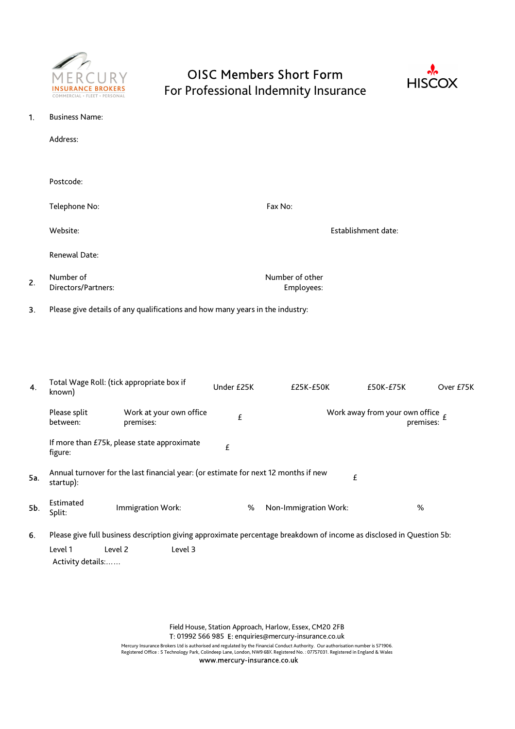

# OISC Members Short Form



For Professional Indemnity Insurance

| 1. | <b>Business Name:</b>                                                         |                               |                     |  |  |  |
|----|-------------------------------------------------------------------------------|-------------------------------|---------------------|--|--|--|
|    | Address:                                                                      |                               |                     |  |  |  |
|    |                                                                               |                               |                     |  |  |  |
|    | Postcode:                                                                     |                               |                     |  |  |  |
|    | Telephone No:                                                                 | Fax No:                       |                     |  |  |  |
|    | Website:                                                                      |                               | Establishment date: |  |  |  |
|    | Renewal Date:                                                                 |                               |                     |  |  |  |
| 2. | Number of<br>Directors/Partners:                                              | Number of other<br>Employees: |                     |  |  |  |
| 3. | Please give details of any qualifications and how many years in the industry: |                               |                     |  |  |  |
|    |                                                                               |                               |                     |  |  |  |
|    |                                                                               |                               |                     |  |  |  |

| 4.  | Total Wage Roll: (tick appropriate box if<br>known)                                                   |                                                                                                                      | Under £25K | £25K-£50K             | £50K-£75K                                              | Over £75K |  |  |  |
|-----|-------------------------------------------------------------------------------------------------------|----------------------------------------------------------------------------------------------------------------------|------------|-----------------------|--------------------------------------------------------|-----------|--|--|--|
|     | Please split<br>between:                                                                              | Work at your own office<br>premises:                                                                                 | £          |                       | Work away from your own office $\epsilon$<br>premises: |           |  |  |  |
|     | figure:                                                                                               | If more than £75k, please state approximate                                                                          | £          |                       |                                                        |           |  |  |  |
| 5a. | Annual turnover for the last financial year: (or estimate for next 12 months if new<br>£<br>startup): |                                                                                                                      |            |                       |                                                        |           |  |  |  |
| 5b. | Estimated<br>Split:                                                                                   | Immigration Work:                                                                                                    | %          | Non-Immigration Work: | %                                                      |           |  |  |  |
| 6.  |                                                                                                       | Please give full business description giving approximate percentage breakdown of income as disclosed in Question 5b: |            |                       |                                                        |           |  |  |  |
|     | Level 1<br>Activity details:                                                                          | Level 2<br>Level 3                                                                                                   |            |                       |                                                        |           |  |  |  |

Field House, Station Approach, Harlow, Essex, CM20 2FB T: 01992 566 985 E: enquiries@mercury-insurance.co.uk

Mercury Insurance Brokers Ltd is authorised and regulated by the Financial Conduct Authority. Our authorisation number is 571906.<br>Registered Office : 5 Technology Park, Colindeep Lane, London, NW9 6BX. Registered No. : 07

www.mercury-insurance.co.uk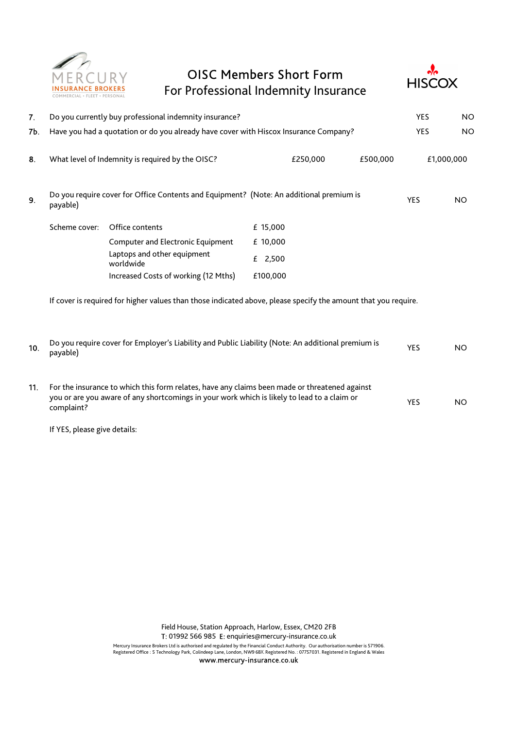

### OISC Members Short Form For Professional Indemnity Insurance



| 7.  | Do you currently buy professional indemnity insurance?                                                                                                                                                     |                                          |            | <b>YES</b> | <b>NO</b>  |            |
|-----|------------------------------------------------------------------------------------------------------------------------------------------------------------------------------------------------------------|------------------------------------------|------------|------------|------------|------------|
| 7Ь. | Have you had a quotation or do you already have cover with Hiscox Insurance Company?                                                                                                                       |                                          |            |            | <b>YES</b> | <b>NO</b>  |
| 8.  | What level of Indemnity is required by the OISC?<br>£250,000                                                                                                                                               |                                          |            | £500,000   |            | £1,000,000 |
| 9.  | Do you require cover for Office Contents and Equipment? (Note: An additional premium is<br>payable)                                                                                                        |                                          |            |            | <b>YES</b> | <b>NO</b>  |
|     | Scheme cover:                                                                                                                                                                                              | Office contents                          | £ 15,000   |            |            |            |
|     |                                                                                                                                                                                                            | Computer and Electronic Equipment        | £ 10,000   |            |            |            |
|     |                                                                                                                                                                                                            | Laptops and other equipment<br>worldwide | £ $2,500$  |            |            |            |
|     |                                                                                                                                                                                                            | Increased Costs of working (12 Mths)     | £100,000   |            |            |            |
|     | If cover is required for higher values than those indicated above, please specify the amount that you require.                                                                                             |                                          |            |            |            |            |
| 10. | Do you require cover for Employer's Liability and Public Liability (Note: An additional premium is<br>payable)                                                                                             |                                          | <b>YES</b> | <b>NO</b>  |            |            |
| 11. | For the insurance to which this form relates, have any claims been made or threatened against<br>you or are you aware of any shortcomings in your work which is likely to lead to a claim or<br>complaint? |                                          |            | <b>YES</b> | <b>NO</b>  |            |

If YES, please give details:

Field House, Station Approach, Harlow, Essex, CM20 2FB T: 01992 566 985 E: enquiries@mercury-insurance.co.uk

Mercury Insurance Brokers Ltd is authorised and regulated by the Financial Conduct Authority. Our authorisation number is 571906.<br>Registered Office : 5 Technology Park, Colindeep Lane, London, NW9 6BX. Registered No. : 07